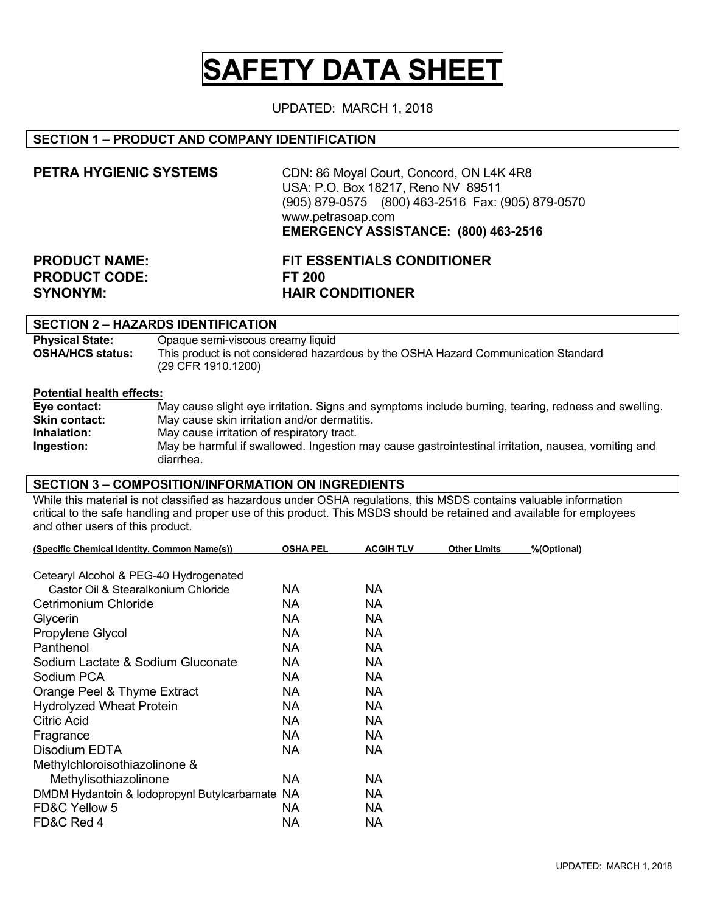# **SAFETY DATA SHEET**

UPDATED: MARCH 1, 2018

## **SECTION 1 – PRODUCT AND COMPANY IDENTIFICATION**

| PETRA HYGIENIC SYSTEMS | CDN: 86 Moyal Court, Concord, ON L4K 4R8<br>USA: P.O. Box 18217, Reno NV 89511<br>(905) 879-0575 (800) 463-2516 Fax: (905) 879-0570<br>www.petrasoap.com<br>EMERGENCY ASSISTANCE: (800) 463-2516 |
|------------------------|--------------------------------------------------------------------------------------------------------------------------------------------------------------------------------------------------|
| <b>PRODUCT NAME:</b>   | <b>FIT ESSENTIALS CONDITIONER</b>                                                                                                                                                                |
| <b>PRODUCT CODE:</b>   | FT 200                                                                                                                                                                                           |
| <b>SYNONYM:</b>        | <b>HAIR CONDITIONER</b>                                                                                                                                                                          |

## **SECTION 2 – HAZARDS IDENTIFICATION**

| <b>Physical State:</b>  | Opaque semi-viscous creamy liquid                                                  |
|-------------------------|------------------------------------------------------------------------------------|
| <b>OSHA/HCS status:</b> | This product is not considered hazardous by the OSHA Hazard Communication Standard |
|                         | (29 CFR 1910.1200)                                                                 |

#### **Potential health effects:**

| Eye contact:         | May cause slight eye irritation. Signs and symptoms include burning, tearing, redness and swelling. |
|----------------------|-----------------------------------------------------------------------------------------------------|
| <b>Skin contact:</b> | May cause skin irritation and/or dermatitis.                                                        |
| Inhalation:          | May cause irritation of respiratory tract.                                                          |
| Ingestion:           | May be harmful if swallowed. Ingestion may cause gastrointestinal irritation, nausea, vomiting and  |
|                      | diarrhea.                                                                                           |

#### **SECTION 3 – COMPOSITION/INFORMATION ON INGREDIENTS**

While this material is not classified as hazardous under OSHA regulations, this MSDS contains valuable information critical to the safe handling and proper use of this product. This MSDS should be retained and available for employees and other users of this product.

| (Specific Chemical Identity, Common Name(s))   | <b>OSHA PEL</b> | <b>ACGIH TLV</b> | <b>Other Limits</b> | %(Optional) |
|------------------------------------------------|-----------------|------------------|---------------------|-------------|
|                                                |                 |                  |                     |             |
| Cetearyl Alcohol & PEG-40 Hydrogenated         |                 |                  |                     |             |
| Castor Oil & Stearalkonium Chloride            | NA.             | NA.              |                     |             |
| Cetrimonium Chloride                           | NА              | NA               |                     |             |
| Glycerin                                       | NA              | NA.              |                     |             |
| Propylene Glycol                               | NA              | NA               |                     |             |
| Panthenol                                      | NА              | NA               |                     |             |
| Sodium Lactate & Sodium Gluconate              | NА              | <b>NA</b>        |                     |             |
| Sodium PCA                                     | NA              | NA.              |                     |             |
| Orange Peel & Thyme Extract                    | <b>NA</b>       | <b>NA</b>        |                     |             |
| <b>Hydrolyzed Wheat Protein</b>                | <b>NA</b>       | <b>NA</b>        |                     |             |
| Citric Acid                                    | NА              | NA               |                     |             |
| Fragrance                                      | NA              | <b>NA</b>        |                     |             |
| Disodium EDTA                                  | NA.             | NA.              |                     |             |
| Methylchloroisothiazolinone &                  |                 |                  |                     |             |
| Methylisothiazolinone                          | NA              | NA.              |                     |             |
| DMDM Hydantoin & Iodopropynl Butylcarbamate NA |                 | NA.              |                     |             |
| FD&C Yellow 5                                  | NA              | NA.              |                     |             |
| FD&C Red 4                                     | <b>NA</b>       | <b>NA</b>        |                     |             |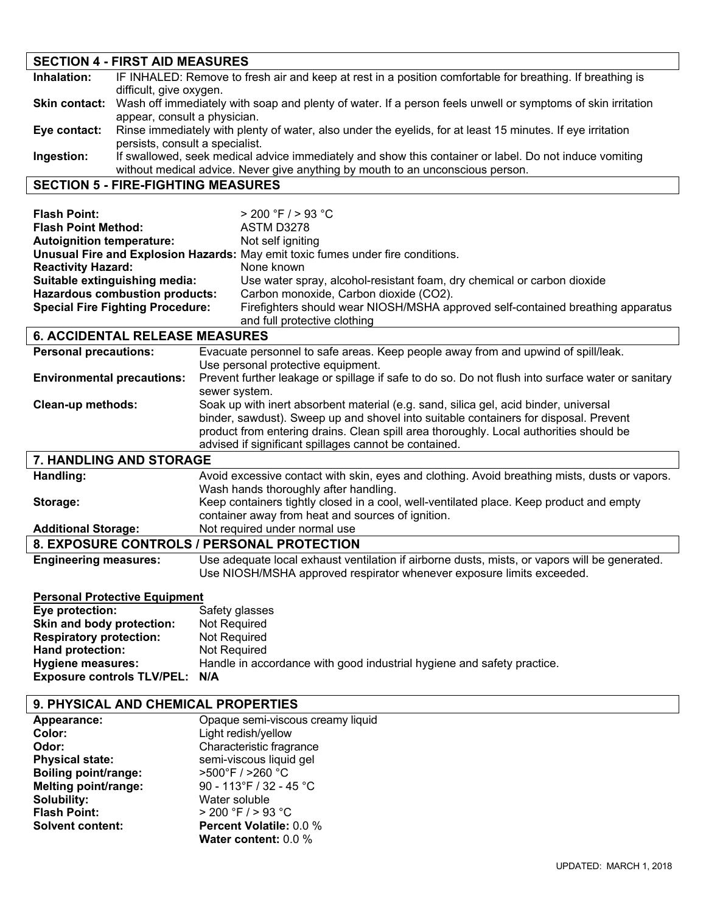## **SECTION 4 - FIRST AID MEASURES Inhalation:** IF INHALED: Remove to fresh air and keep at rest in a position comfortable for breathing. If breathing is difficult, give oxygen. **Skin contact:** Wash off immediately with soap and plenty of water. If a person feels unwell or symptoms of skin irritation appear, consult a physician. **Eye contact:** Rinse immediately with plenty of water, also under the eyelids, for at least 15 minutes. If eye irritation persists, consult a specialist. **Ingestion:** If swallowed, seek medical advice immediately and show this container or label. Do not induce vomiting without medical advice. Never give anything by mouth to an unconscious person.

## **SECTION 5 - FIRE-FIGHTING MEASURES**

| <b>Flash Point:</b><br><b>Flash Point Method:</b><br><b>Autoignition temperature:</b><br><b>Reactivity Hazard:</b><br>Suitable extinguishing media:<br><b>Hazardous combustion products:</b><br><b>Special Fire Fighting Procedure:</b> | $> 200$ °F $/ > 93$ °C<br>ASTM D3278<br>Not self igniting<br>Unusual Fire and Explosion Hazards: May emit toxic fumes under fire conditions.<br>None known<br>Use water spray, alcohol-resistant foam, dry chemical or carbon dioxide<br>Carbon monoxide, Carbon dioxide (CO2).<br>Firefighters should wear NIOSH/MSHA approved self-contained breathing apparatus<br>and full protective clothing |  |
|-----------------------------------------------------------------------------------------------------------------------------------------------------------------------------------------------------------------------------------------|----------------------------------------------------------------------------------------------------------------------------------------------------------------------------------------------------------------------------------------------------------------------------------------------------------------------------------------------------------------------------------------------------|--|
| <b>6. ACCIDENTAL RELEASE MEASURES</b>                                                                                                                                                                                                   |                                                                                                                                                                                                                                                                                                                                                                                                    |  |
| <b>Personal precautions:</b>                                                                                                                                                                                                            | Evacuate personnel to safe areas. Keep people away from and upwind of spill/leak.<br>Use personal protective equipment.                                                                                                                                                                                                                                                                            |  |
| <b>Environmental precautions:</b>                                                                                                                                                                                                       | Prevent further leakage or spillage if safe to do so. Do not flush into surface water or sanitary                                                                                                                                                                                                                                                                                                  |  |
|                                                                                                                                                                                                                                         | sewer system.                                                                                                                                                                                                                                                                                                                                                                                      |  |
| Clean-up methods:                                                                                                                                                                                                                       | Soak up with inert absorbent material (e.g. sand, silica gel, acid binder, universal                                                                                                                                                                                                                                                                                                               |  |
|                                                                                                                                                                                                                                         | binder, sawdust). Sweep up and shovel into suitable containers for disposal. Prevent                                                                                                                                                                                                                                                                                                               |  |
|                                                                                                                                                                                                                                         | product from entering drains. Clean spill area thoroughly. Local authorities should be                                                                                                                                                                                                                                                                                                             |  |
|                                                                                                                                                                                                                                         | advised if significant spillages cannot be contained.                                                                                                                                                                                                                                                                                                                                              |  |
| 7. HANDLING AND STORAGE                                                                                                                                                                                                                 |                                                                                                                                                                                                                                                                                                                                                                                                    |  |
| Handling:                                                                                                                                                                                                                               | Avoid excessive contact with skin, eyes and clothing. Avoid breathing mists, dusts or vapors.<br>Wash hands thoroughly after handling.                                                                                                                                                                                                                                                             |  |
| Storage:                                                                                                                                                                                                                                | Keep containers tightly closed in a cool, well-ventilated place. Keep product and empty                                                                                                                                                                                                                                                                                                            |  |
|                                                                                                                                                                                                                                         | container away from heat and sources of ignition.                                                                                                                                                                                                                                                                                                                                                  |  |
| <b>Additional Storage:</b>                                                                                                                                                                                                              | Not required under normal use                                                                                                                                                                                                                                                                                                                                                                      |  |
|                                                                                                                                                                                                                                         | 8. EXPOSURE CONTROLS / PERSONAL PROTECTION                                                                                                                                                                                                                                                                                                                                                         |  |
| <b>Engineering measures:</b>                                                                                                                                                                                                            | Use adequate local exhaust ventilation if airborne dusts, mists, or vapors will be generated.                                                                                                                                                                                                                                                                                                      |  |
|                                                                                                                                                                                                                                         | Use NIOSH/MSHA approved respirator whenever exposure limits exceeded.                                                                                                                                                                                                                                                                                                                              |  |
| <b>Personal Protective Equipment</b>                                                                                                                                                                                                    |                                                                                                                                                                                                                                                                                                                                                                                                    |  |
| Eye protection:                                                                                                                                                                                                                         | Safety glasses                                                                                                                                                                                                                                                                                                                                                                                     |  |
| Skin and body protection:                                                                                                                                                                                                               | Not Required                                                                                                                                                                                                                                                                                                                                                                                       |  |
| <b>Respiratory protection:</b>                                                                                                                                                                                                          | Not Required                                                                                                                                                                                                                                                                                                                                                                                       |  |
| Hand protection:<br><b>Hygiene measures:</b>                                                                                                                                                                                            | <b>Not Required</b><br>Handle in accordance with good industrial hygiene and safety practice.                                                                                                                                                                                                                                                                                                      |  |
| <b>Exposure controls TLV/PEL:</b>                                                                                                                                                                                                       | N/A                                                                                                                                                                                                                                                                                                                                                                                                |  |
|                                                                                                                                                                                                                                         |                                                                                                                                                                                                                                                                                                                                                                                                    |  |

## **9. PHYSICAL AND CHEMICAL PROPERTIES**

| Appearance:                 | Opaque semi-viscous creamy liquid |
|-----------------------------|-----------------------------------|
| Color:                      | Light redish/yellow               |
| Odor:                       | Characteristic fragrance          |
| <b>Physical state:</b>      | semi-viscous liquid gel           |
| <b>Boiling point/range:</b> | >500°F / >260 °C                  |
| <b>Melting point/range:</b> | 90 - 113°F / 32 - 45 °C           |
| Solubility:                 | Water soluble                     |
| <b>Flash Point:</b>         | $> 200$ °F / $> 93$ °C            |
| <b>Solvent content:</b>     | <b>Percent Volatile: 0.0 %</b>    |
|                             | Water content: 0.0 %              |